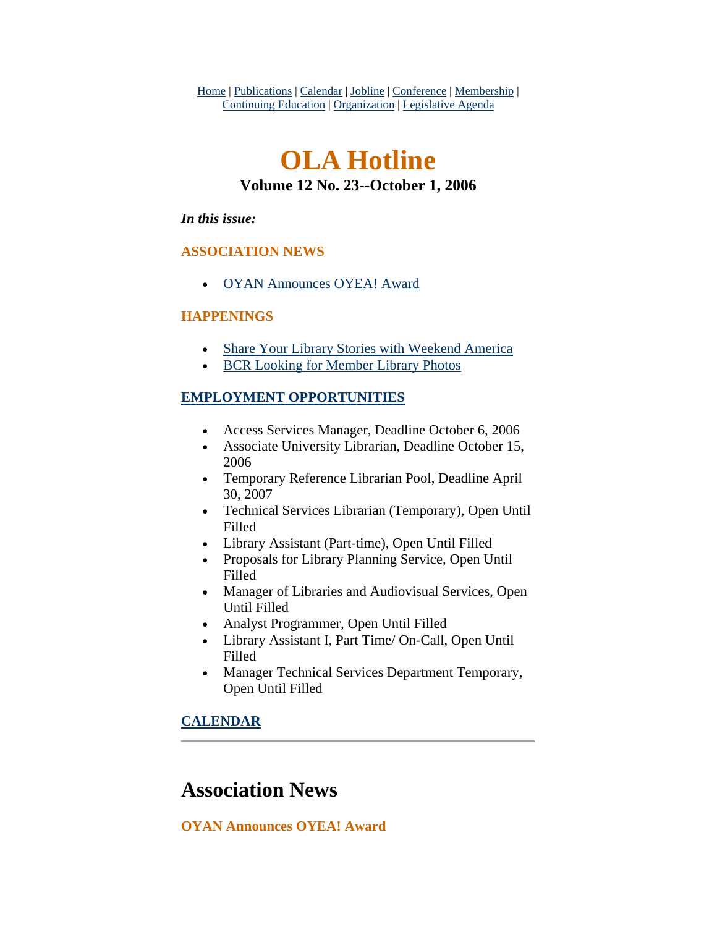<span id="page-0-0"></span>Home | Publications | Calendar | Jobline | Conference | Membership | Continuing Education | Organization | Legislative Agenda

# **OLA Hotline Volume 12 No. 23--October 1, 2006**

#### *In this issue:*

### **ASSOCIATION NEWS**

• [OYAN Announces OYEA! Award](#page-0-0)

### **HAPPENINGS**

- [Share Your Library Stories with Weekend America](#page-1-0)
- [BCR Looking for Member Library Photos](#page-2-0)

### **EMPLOYMENT OPPORTUNITIES**

- Access Services Manager, Deadline October 6, 2006
- Associate University Librarian, Deadline October 15, 2006
- Temporary Reference Librarian Pool, Deadline April 30, 2007
- Technical Services Librarian (Temporary), Open Until Filled
- Library Assistant (Part-time), Open Until Filled
- Proposals for Library Planning Service, Open Until Filled
- Manager of Libraries and Audiovisual Services, Open Until Filled
- Analyst Programmer, Open Until Filled
- Library Assistant I, Part Time/ On-Call, Open Until Filled
- Manager Technical Services Department Temporary, Open Until Filled

### **CALENDAR**

### **Association News**

**OYAN Announces OYEA! Award**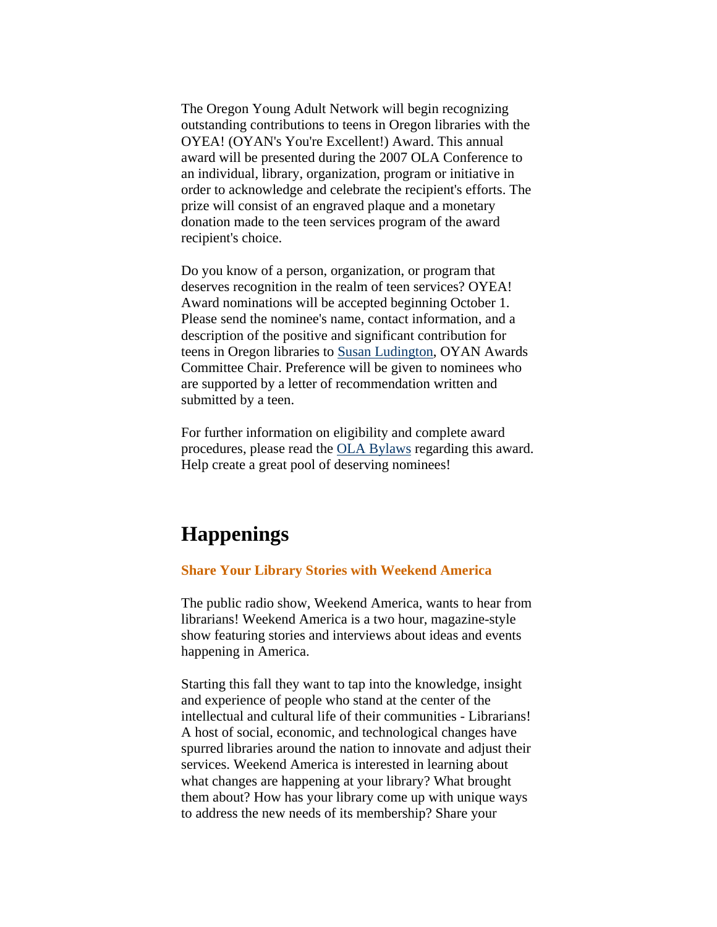<span id="page-1-0"></span>The Oregon Young Adult Network will begin recognizing outstanding contributions to teens in Oregon libraries with the OYEA! (OYAN's You're Excellent!) Award. This annual award will be presented during the 2007 OLA Conference to an individual, library, organization, program or initiative in order to acknowledge and celebrate the recipient's efforts. The prize will consist of an engraved plaque and a monetary donation made to the teen services program of the award recipient's choice.

Do you know of a person, organization, or program that deserves recognition in the realm of teen services? OYEA! Award nominations will be accepted beginning October 1. Please send the nominee's name, contact information, and a description of the positive and significant contribution for teens in Oregon libraries to [Susan Ludington](mailto:susanl@yahoo.com), OYAN Awards Committee Chair. Preference will be given to nominees who are supported by a letter of recommendation written and submitted by a teen.

For further information on eligibility and complete award procedures, please read the [OLA Bylaws](http://olaweb.org/bylaws/oyea.shtml) regarding this award. Help create a great pool of deserving nominees!

### **Happenings**

#### **Share Your Library Stories with Weekend America**

The public radio show, Weekend America, wants to hear from librarians! Weekend America is a two hour, magazine-style show featuring stories and interviews about ideas and events happening in America.

Starting this fall they want to tap into the knowledge, insight and experience of people who stand at the center of the intellectual and cultural life of their communities - Librarians! A host of social, economic, and technological changes have spurred libraries around the nation to innovate and adjust their services. Weekend America is interested in learning about what changes are happening at your library? What brought them about? How has your library come up with unique ways to address the new needs of its membership? Share your